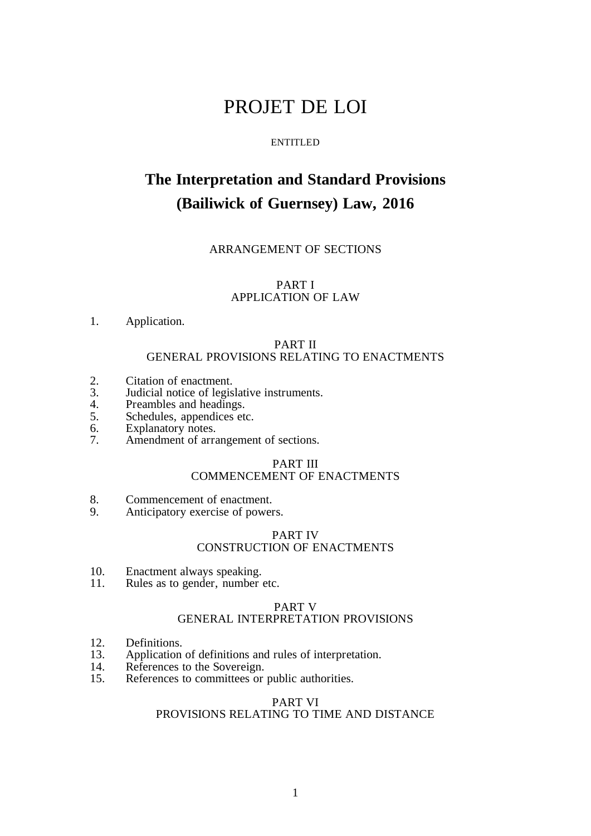# PROJET DE LOI

#### ENTITLED

# **The Interpretation and Standard Provisions (Bailiwick of Guernsey) Law, 2016**

# ARRANGEMENT OF SECTIONS

## PART I APPLICATION OF LAW

# 1. Application.

## PART II GENERAL PROVISIONS RELATING TO ENACTMENTS

- 2. Citation of enactment.<br>3. Judicial notice of legis
- 3. Judicial notice of legislative instruments.
- 4. Preambles and headings.<br>5. Schedules, appendices etc.
- 5. Schedules, appendices etc.<br>6. Explanatory notes.
- 6. Explanatory notes.<br>7. Amendment of arra
- Amendment of arrangement of sections.

# PART III

# COMMENCEMENT OF ENACTMENTS

- 8. Commencement of enactment.
- 9. Anticipatory exercise of powers.

#### PART IV CONSTRUCTION OF ENACTMENTS

- 10. Enactment always speaking.
- 11. Rules as to gender, number etc.

## PART V

## GENERAL INTERPRETATION PROVISIONS

- 12. Definitions.
- 13. Application of definitions and rules of interpretation.
- 14. References to the Sovereign.<br>15. References to committees or
- References to committees or public authorities.

#### PART VI

# PROVISIONS RELATING TO TIME AND DISTANCE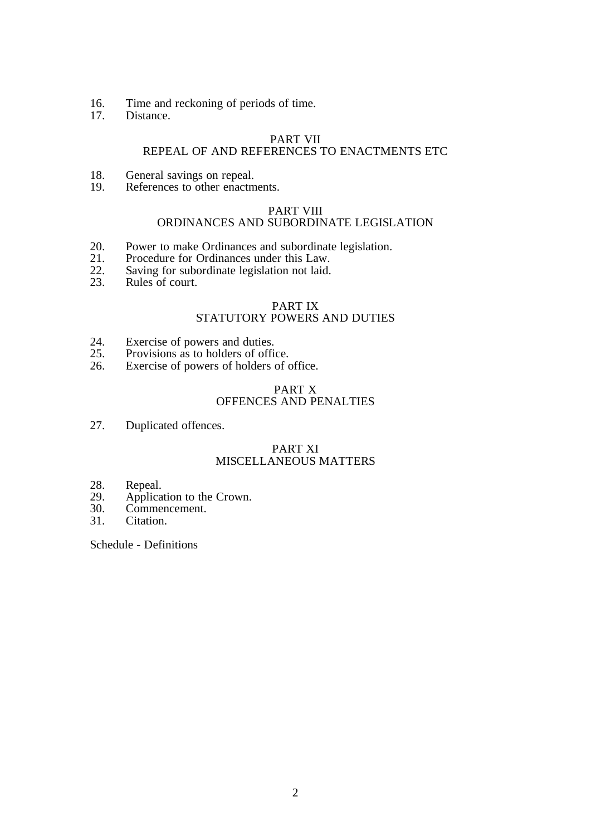- 16. Time and reckoning of periods of time.<br>17. Distance.
- Distance.

# PART VII

# REPEAL OF AND REFERENCES TO ENACTMENTS ETC

- 18. General savings on repeal.<br>19. References to other enactm
- References to other enactments.

# PART VIII

# ORDINANCES AND SUBORDINATE LEGISLATION

- 20. Power to make Ordinances and subordinate legislation.<br>21. Procedure for Ordinances under this Law.
- 21. Procedure for Ordinances under this Law.<br>22. Saving for subordinate legislation not laid.
- 22. Saving for subordinate legislation not laid.<br>23. Rules of court.
- Rules of court.

# PART IX

# STATUTORY POWERS AND DUTIES

- 24. Exercise of powers and duties.<br>25. Provisions as to holders of offi
- 25. Provisions as to holders of office.<br>26. Exercise of powers of holders of  $\alpha$
- Exercise of powers of holders of office.

# PART X OFFENCES AND PENALTIES

27. Duplicated offences.

## PART XI MISCELLANEOUS MATTERS

- 28. Repeal.<br>29. Applica
- 29. Application to the Crown.<br>30. Commencement.
- Commencement.
- 31. Citation.

Schedule - Definitions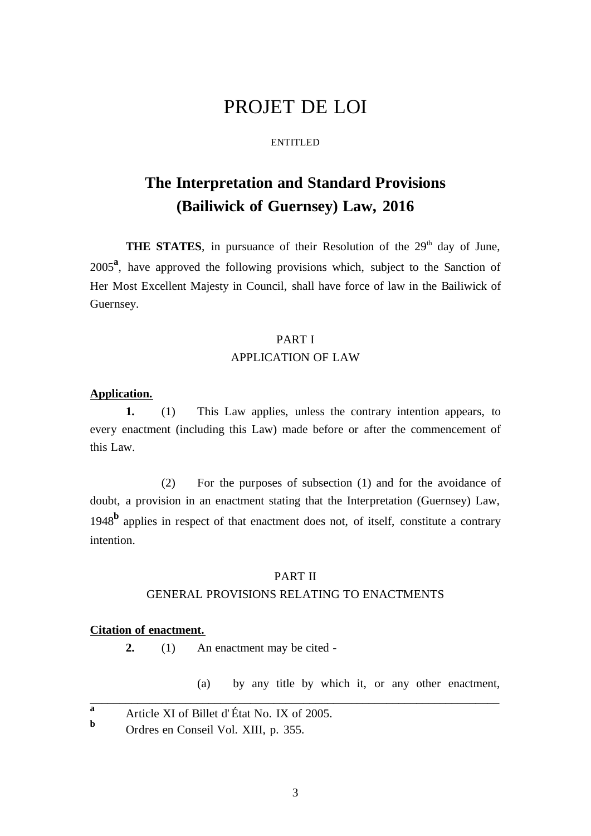# PROJET DE LOI

### ENTITLED

# **The Interpretation and Standard Provisions (Bailiwick of Guernsey) Law, 2016**

**THE STATES**, in pursuance of their Resolution of the 29<sup>th</sup> day of June, 2005**<sup>a</sup>** , have approved the following provisions which, subject to the Sanction of Her Most Excellent Majesty in Council, shall have force of law in the Bailiwick of Guernsey.

## PART I

# APPLICATION OF LAW

## **Application.**

**1.** (1) This Law applies, unless the contrary intention appears, to every enactment (including this Law) made before or after the commencement of this Law.

(2) For the purposes of subsection (1) and for the avoidance of doubt, a provision in an enactment stating that the Interpretation (Guernsey) Law, 1948<sup>b</sup> applies in respect of that enactment does not, of itself, constitute a contrary intention.

# PART II GENERAL PROVISIONS RELATING TO ENACTMENTS

## **Citation of enactment.**

**2.** (1) An enactment may be cited -

(a) by any title by which it, or any other enactment,

**a** Article XI of Billet d'État No. IX of 2005.

**<sup>b</sup>** Ordres en Conseil Vol. XIII, p. 355.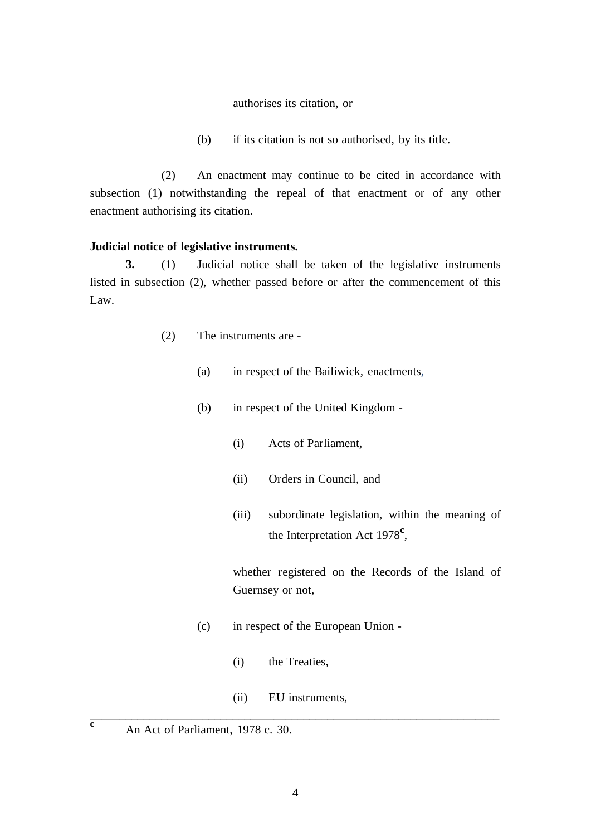## authorises its citation, or

(b) if its citation is not so authorised, by its title.

(2) An enactment may continue to be cited in accordance with subsection (1) notwithstanding the repeal of that enactment or of any other enactment authorising its citation.

# **Judicial notice of legislative instruments.**

**3.** (1) Judicial notice shall be taken of the legislative instruments listed in subsection (2), whether passed before or after the commencement of this Law.

- (2) The instruments are
	- (a) in respect of the Bailiwick*,* enactments,
	- (b) in respect of the United Kingdom
		- (i) Acts of Parliament,
		- (ii) Orders in Council, and
		- (iii) subordinate legislation, within the meaning of the Interpretation Act 1978**<sup>c</sup>** ,

whether registered on the Records of the Island of Guernsey or not,

- (c) in respect of the European Union
	- (i) the Treaties,
- (ii) EU instruments, \_\_\_\_\_\_\_\_\_\_\_\_\_\_\_\_\_\_\_\_\_\_\_\_\_\_\_\_\_\_\_\_\_\_\_\_\_\_\_\_\_\_\_\_\_\_\_\_\_\_\_\_\_\_\_\_\_\_\_\_\_\_\_\_\_\_\_\_\_

**<sup>c</sup>** An Act of Parliament, 1978 c. 30.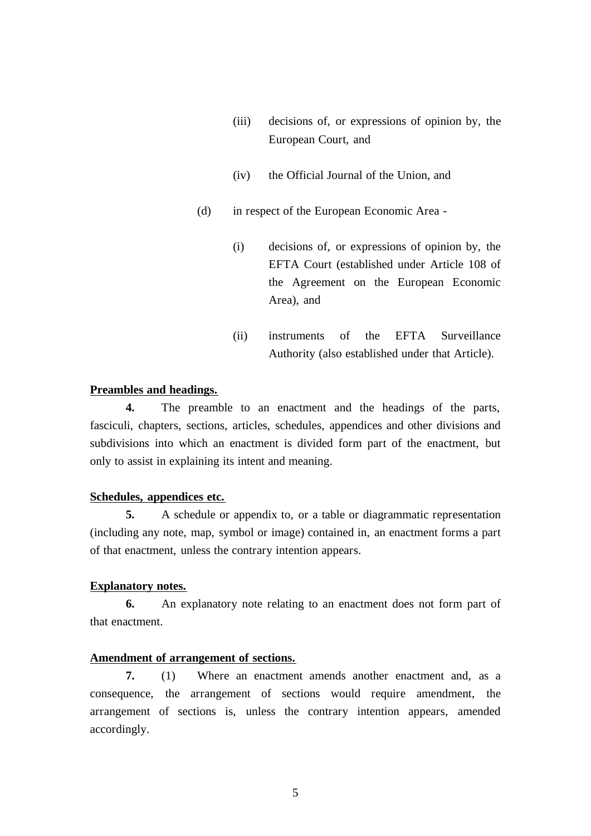- (iii) decisions of, or expressions of opinion by, the European Court, and
- (iv) the Official Journal of the Union, and
- (d) in respect of the European Economic Area
	- (i) decisions of, or expressions of opinion by, the EFTA Court (established under Article 108 of the Agreement on the European Economic Area), and
	- (ii) instruments of the EFTA Surveillance Authority (also established under that Article).

# **Preambles and headings.**

**4.** The preamble to an enactment and the headings of the parts, fasciculi, chapters, sections, articles, schedules, appendices and other divisions and subdivisions into which an enactment is divided form part of the enactment, but only to assist in explaining its intent and meaning.

# **Schedules, appendices etc.**

**5.** A schedule or appendix to, or a table or diagrammatic representation (including any note, map, symbol or image) contained in, an enactment forms a part of that enactment, unless the contrary intention appears.

# **Explanatory notes.**

**6.** An explanatory note relating to an enactment does not form part of that enactment.

### **Amendment of arrangement of sections.**

**7.** (1) Where an enactment amends another enactment and, as a consequence, the arrangement of sections would require amendment, the arrangement of sections is, unless the contrary intention appears, amended accordingly.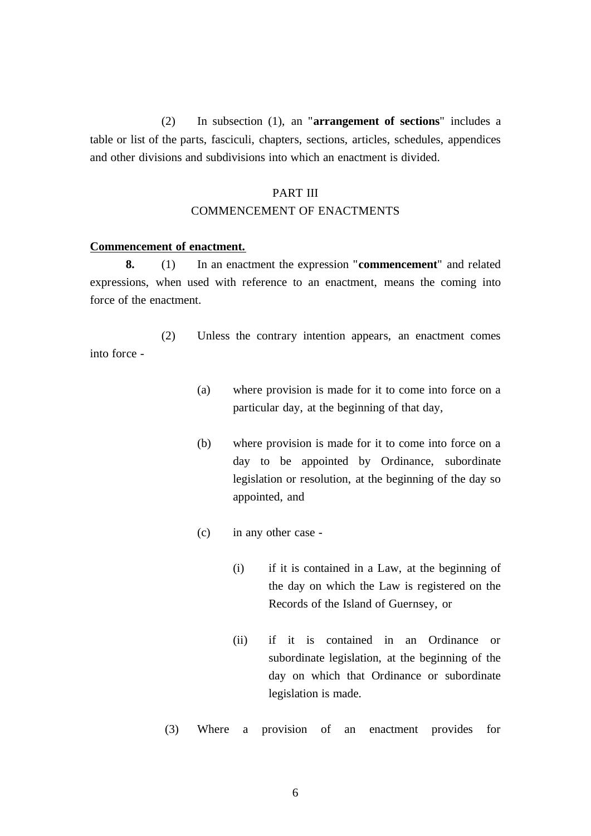(2) In subsection (1), an "**arrangement of sections**" includes a table or list of the parts, fasciculi, chapters, sections, articles, schedules, appendices and other divisions and subdivisions into which an enactment is divided.

# PART III

# COMMENCEMENT OF ENACTMENTS

### **Commencement of enactment.**

**8.** (1) In an enactment the expression "**commencement**" and related expressions, when used with reference to an enactment, means the coming into force of the enactment.

(2) Unless the contrary intention appears, an enactment comes into force -

- (a) where provision is made for it to come into force on a particular day, at the beginning of that day,
- (b) where provision is made for it to come into force on a day to be appointed by Ordinance, subordinate legislation or resolution, at the beginning of the day so appointed, and
- (c) in any other case
	- (i) if it is contained in a Law, at the beginning of the day on which the Law is registered on the Records of the Island of Guernsey, or
	- (ii) if it is contained in an Ordinance or subordinate legislation, at the beginning of the day on which that Ordinance or subordinate legislation is made.

(3) Where a provision of an enactment provides for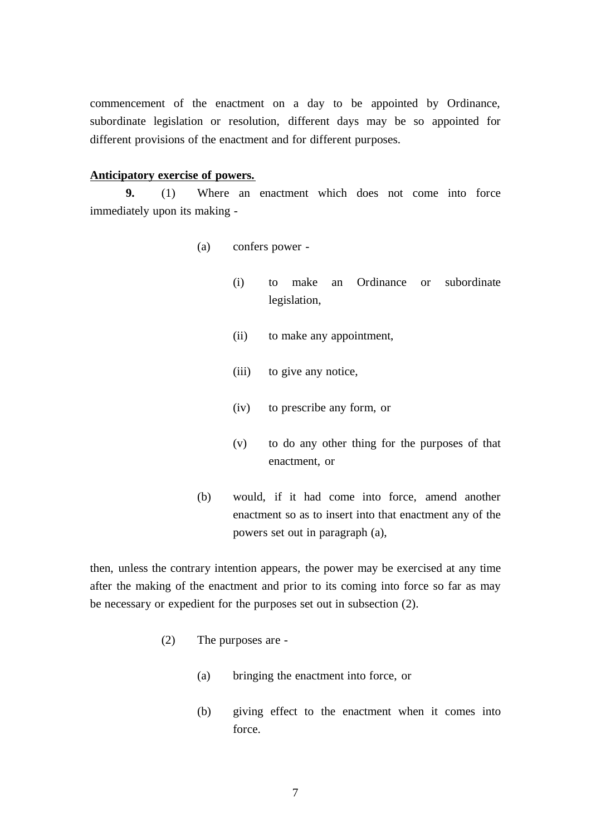commencement of the enactment on a day to be appointed by Ordinance, subordinate legislation or resolution, different days may be so appointed for different provisions of the enactment and for different purposes.

## **Anticipatory exercise of powers.**

**9.** (1) Where an enactment which does not come into force immediately upon its making -

- (a) confers power
	- (i) to make an Ordinance or subordinate legislation,
	- (ii) to make any appointment,
	- (iii) to give any notice,
	- (iv) to prescribe any form, or
	- (v) to do any other thing for the purposes of that enactment, or
- (b) would, if it had come into force, amend another enactment so as to insert into that enactment any of the powers set out in paragraph (a),

then, unless the contrary intention appears, the power may be exercised at any time after the making of the enactment and prior to its coming into force so far as may be necessary or expedient for the purposes set out in subsection (2).

- (2) The purposes are
	- (a) bringing the enactment into force, or
	- (b) giving effect to the enactment when it comes into force.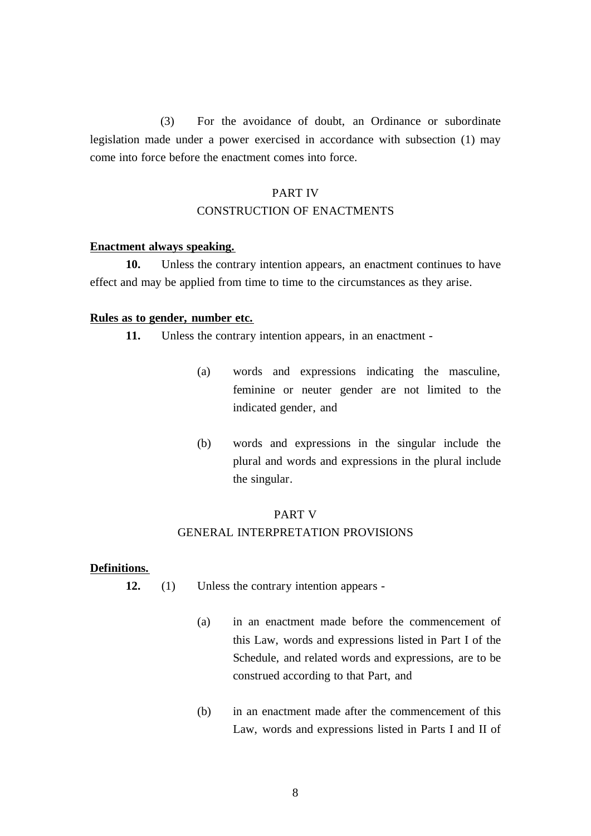(3) For the avoidance of doubt, an Ordinance or subordinate legislation made under a power exercised in accordance with subsection (1) may come into force before the enactment comes into force.

# PART IV

# CONSTRUCTION OF ENACTMENTS

## **Enactment always speaking.**

**10.** Unless the contrary intention appears, an enactment continues to have effect and may be applied from time to time to the circumstances as they arise.

## **Rules as to gender, number etc.**

**11.** Unless the contrary intention appears, in an enactment -

- (a) words and expressions indicating the masculine, feminine or neuter gender are not limited to the indicated gender, and
- (b) words and expressions in the singular include the plural and words and expressions in the plural include the singular.

#### PART V

# GENERAL INTERPRETATION PROVISIONS

### **Definitions.**

- **12.** (1) Unless the contrary intention appears
	- (a) in an enactment made before the commencement of this Law, words and expressions listed in Part I of the Schedule, and related words and expressions, are to be construed according to that Part, and
	- (b) in an enactment made after the commencement of this Law, words and expressions listed in Parts I and II of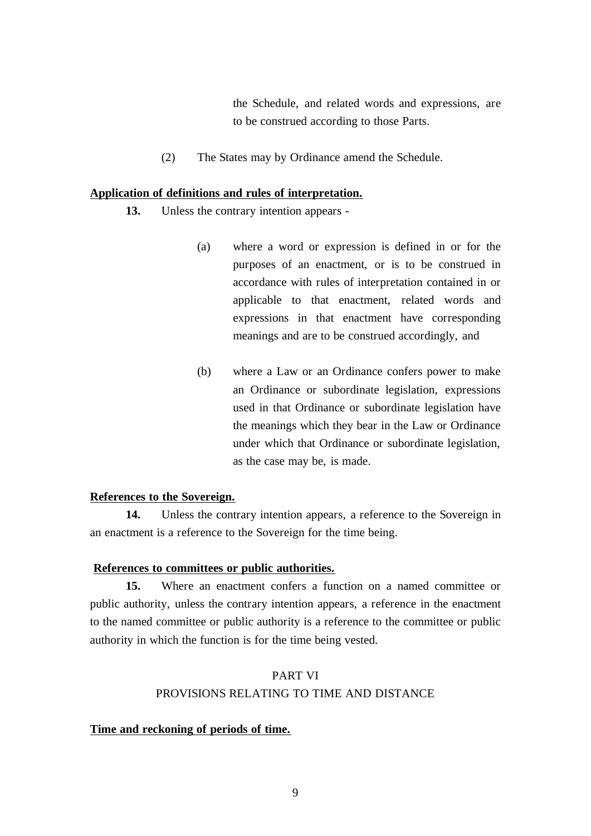the Schedule, and related words and expressions, are to be construed according to those Parts.

(2) The States may by Ordinance amend the Schedule.

# **Application of definitions and rules of interpretation.**

- **13.** Unless the contrary intention appears
	- (a) where a word or expression is defined in or for the purposes of an enactment, or is to be construed in accordance with rules of interpretation contained in or applicable to that enactment, related words and expressions in that enactment have corresponding meanings and are to be construed accordingly, and
	- (b) where a Law or an Ordinance confers power to make an Ordinance or subordinate legislation, expressions used in that Ordinance or subordinate legislation have the meanings which they bear in the Law or Ordinance under which that Ordinance or subordinate legislation, as the case may be, is made.

# **References to the Sovereign.**

**14.** Unless the contrary intention appears, a reference to the Sovereign in an enactment is a reference to the Sovereign for the time being.

# **References to committees or public authorities.**

**15.** Where an enactment confers a function on a named committee or public authority, unless the contrary intention appears, a reference in the enactment to the named committee or public authority is a reference to the committee or public authority in which the function is for the time being vested.

# PART VI PROVISIONS RELATING TO TIME AND DISTANCE

# **Time and reckoning of periods of time.**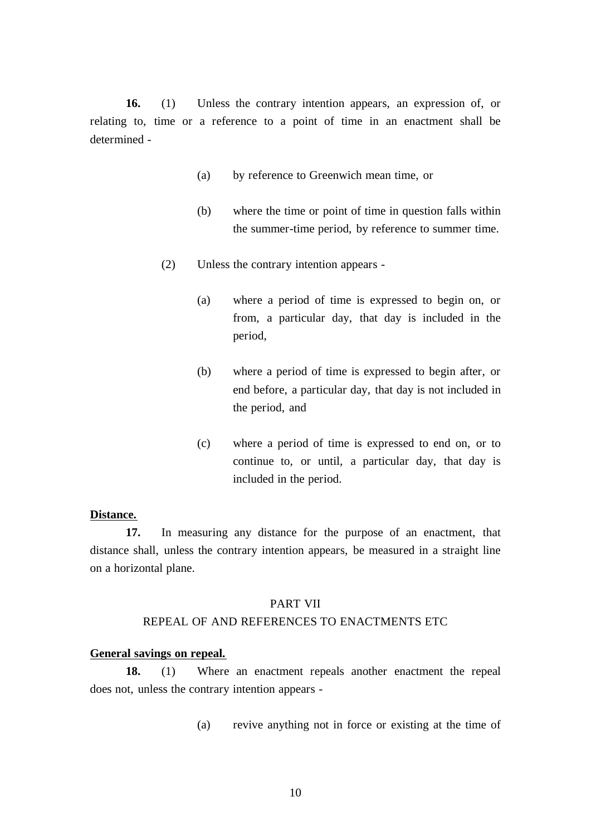**16.** (1) Unless the contrary intention appears, an expression of, or relating to, time or a reference to a point of time in an enactment shall be determined -

- (a) by reference to Greenwich mean time, or
- (b) where the time or point of time in question falls within the summer-time period, by reference to summer time.
- (2) Unless the contrary intention appears
	- (a) where a period of time is expressed to begin on, or from, a particular day, that day is included in the period,
	- (b) where a period of time is expressed to begin after, or end before, a particular day, that day is not included in the period, and
	- (c) where a period of time is expressed to end on, or to continue to, or until, a particular day, that day is included in the period.

#### **Distance.**

**17.** In measuring any distance for the purpose of an enactment, that distance shall, unless the contrary intention appears, be measured in a straight line on a horizontal plane.

## PART VII

## REPEAL OF AND REFERENCES TO ENACTMENTS ETC

# **General savings on repeal.**

**18.** (1) Where an enactment repeals another enactment the repeal does not, unless the contrary intention appears -

(a) revive anything not in force or existing at the time of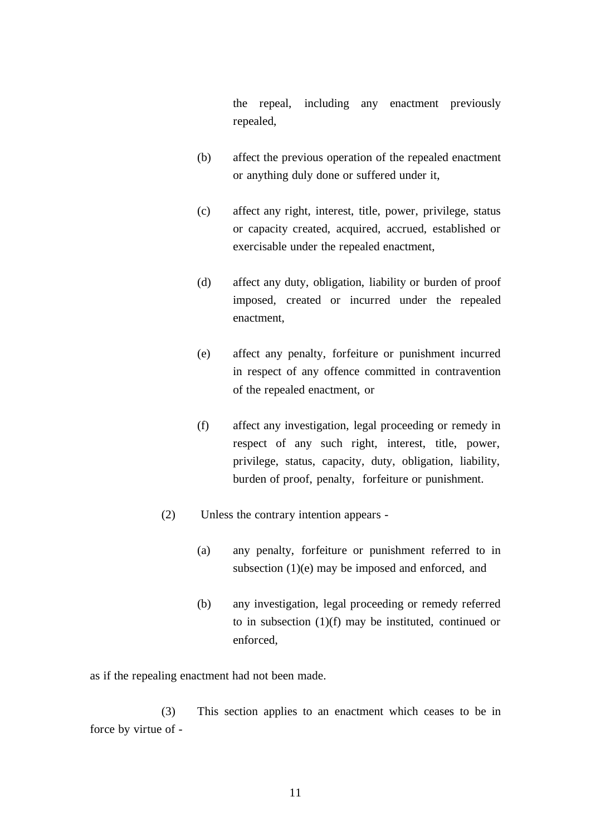the repeal, including any enactment previously repealed,

- (b) affect the previous operation of the repealed enactment or anything duly done or suffered under it,
- (c) affect any right, interest, title, power, privilege, status or capacity created, acquired, accrued, established or exercisable under the repealed enactment,
- (d) affect any duty, obligation, liability or burden of proof imposed, created or incurred under the repealed enactment,
- (e) affect any penalty, forfeiture or punishment incurred in respect of any offence committed in contravention of the repealed enactment, or
- (f) affect any investigation, legal proceeding or remedy in respect of any such right, interest, title, power, privilege, status, capacity, duty, obligation, liability, burden of proof, penalty, forfeiture or punishment.
- (2) Unless the contrary intention appears
	- (a) any penalty, forfeiture or punishment referred to in subsection (1)(e) may be imposed and enforced, and
	- (b) any investigation, legal proceeding or remedy referred to in subsection (1)(f) may be instituted, continued or enforced,

as if the repealing enactment had not been made.

(3) This section applies to an enactment which ceases to be in force by virtue of -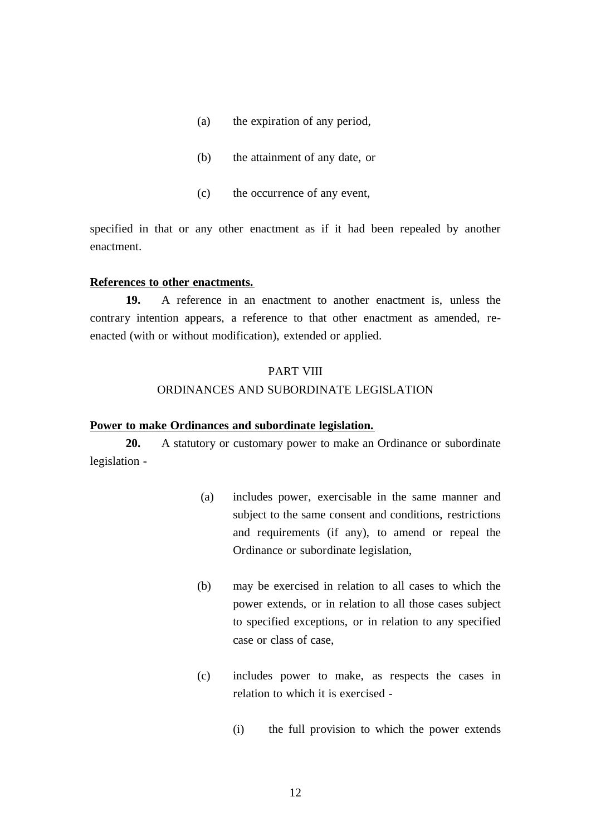- (a) the expiration of any period,
- (b) the attainment of any date, or
- (c) the occurrence of any event,

specified in that or any other enactment as if it had been repealed by another enactment.

## **References to other enactments.**

**19.** A reference in an enactment to another enactment is, unless the contrary intention appears, a reference to that other enactment as amended, reenacted (with or without modification), extended or applied.

## PART VIII

# ORDINANCES AND SUBORDINATE LEGISLATION

# **Power to make Ordinances and subordinate legislation.**

**20.** A statutory or customary power to make an Ordinance or subordinate legislation -

- (a) includes power, exercisable in the same manner and subject to the same consent and conditions, restrictions and requirements (if any), to amend or repeal the Ordinance or subordinate legislation,
- (b) may be exercised in relation to all cases to which the power extends, or in relation to all those cases subject to specified exceptions, or in relation to any specified case or class of case,
- (c) includes power to make, as respects the cases in relation to which it is exercised -
	- (i) the full provision to which the power extends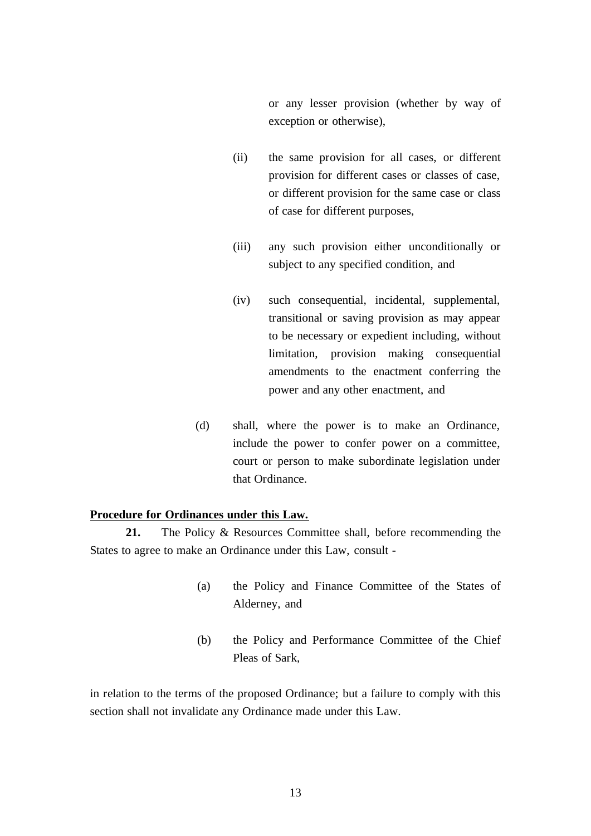or any lesser provision (whether by way of exception or otherwise),

- (ii) the same provision for all cases, or different provision for different cases or classes of case, or different provision for the same case or class of case for different purposes,
- (iii) any such provision either unconditionally or subject to any specified condition, and
- (iv) such consequential, incidental, supplemental, transitional or saving provision as may appear to be necessary or expedient including, without limitation, provision making consequential amendments to the enactment conferring the power and any other enactment, and
- (d) shall, where the power is to make an Ordinance, include the power to confer power on a committee, court or person to make subordinate legislation under that Ordinance.

## **Procedure for Ordinances under this Law.**

**21.** The Policy & Resources Committee shall, before recommending the States to agree to make an Ordinance under this Law, consult -

- (a) the Policy and Finance Committee of the States of Alderney, and
- (b) the Policy and Performance Committee of the Chief Pleas of Sark,

in relation to the terms of the proposed Ordinance; but a failure to comply with this section shall not invalidate any Ordinance made under this Law.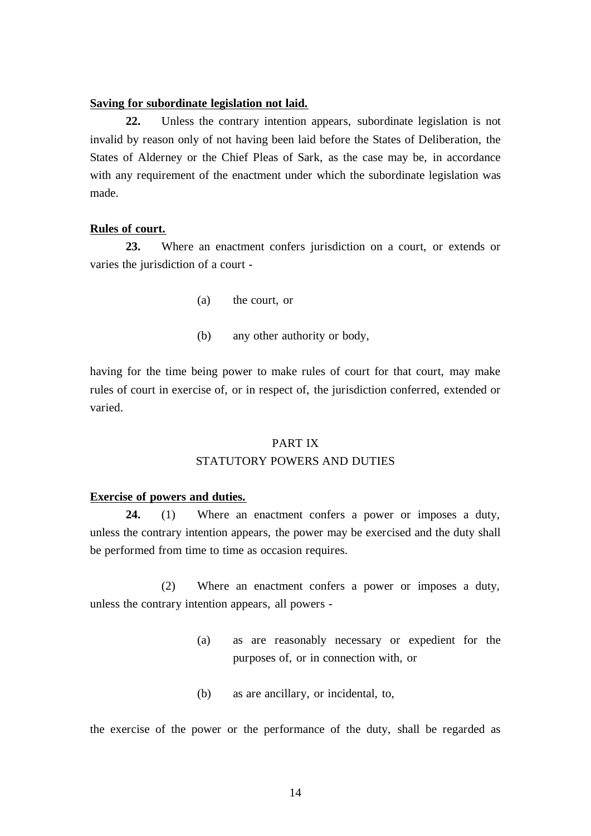## **Saving for subordinate legislation not laid.**

**22.** Unless the contrary intention appears, subordinate legislation is not invalid by reason only of not having been laid before the States of Deliberation, the States of Alderney or the Chief Pleas of Sark, as the case may be, in accordance with any requirement of the enactment under which the subordinate legislation was made.

## **Rules of court.**

**23.** Where an enactment confers jurisdiction on a court, or extends or varies the jurisdiction of a court -

- (a) the court, or
- (b) any other authority or body,

having for the time being power to make rules of court for that court, may make rules of court in exercise of, or in respect of, the jurisdiction conferred, extended or varied.

# PART IX

# STATUTORY POWERS AND DUTIES

## **Exercise of powers and duties.**

**24.** (1) Where an enactment confers a power or imposes a duty, unless the contrary intention appears, the power may be exercised and the duty shall be performed from time to time as occasion requires.

(2) Where an enactment confers a power or imposes a duty, unless the contrary intention appears, all powers -

- (a) as are reasonably necessary or expedient for the purposes of, or in connection with, or
- (b) as are ancillary, or incidental, to,

the exercise of the power or the performance of the duty, shall be regarded as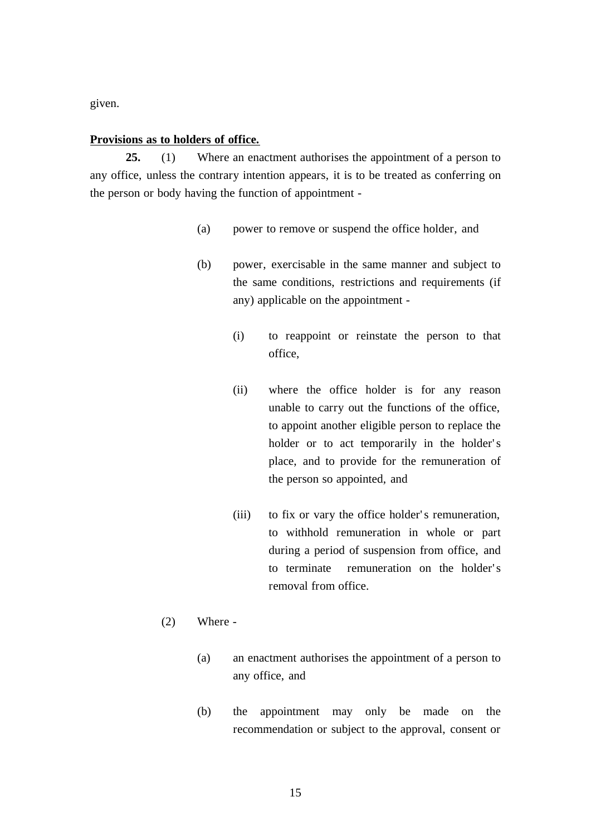given.

## **Provisions as to holders of office.**

**25.** (1) Where an enactment authorises the appointment of a person to any office, unless the contrary intention appears, it is to be treated as conferring on the person or body having the function of appointment -

- (a) power to remove or suspend the office holder, and
- (b) power, exercisable in the same manner and subject to the same conditions, restrictions and requirements (if any) applicable on the appointment -
	- (i) to reappoint or reinstate the person to that office,
	- (ii) where the office holder is for any reason unable to carry out the functions of the office, to appoint another eligible person to replace the holder or to act temporarily in the holder's place, and to provide for the remuneration of the person so appointed, and
	- (iii) to fix or vary the office holder's remuneration, to withhold remuneration in whole or part during a period of suspension from office, and to terminate remuneration on the holder's removal from office.

## (2) Where -

- (a) an enactment authorises the appointment of a person to any office, and
- (b) the appointment may only be made on the recommendation or subject to the approval, consent or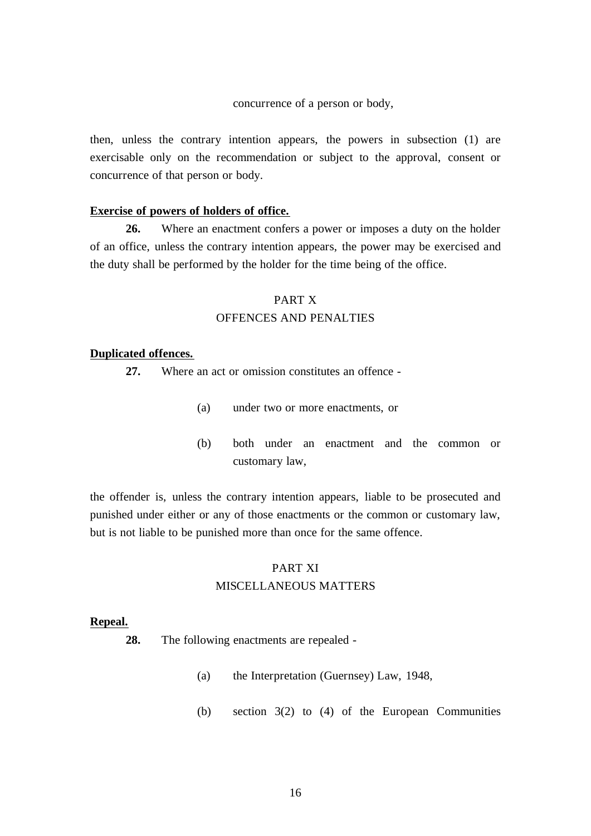concurrence of a person or body,

then, unless the contrary intention appears, the powers in subsection (1) are exercisable only on the recommendation or subject to the approval, consent or concurrence of that person or body.

## **Exercise of powers of holders of office.**

**26.** Where an enactment confers a power or imposes a duty on the holder of an office, unless the contrary intention appears, the power may be exercised and the duty shall be performed by the holder for the time being of the office.

# PART X OFFENCES AND PENALTIES

## **Duplicated offences.**

**27.** Where an act or omission constitutes an offence -

- (a) under two or more enactments, or
- (b) both under an enactment and the common or customary law,

the offender is, unless the contrary intention appears, liable to be prosecuted and punished under either or any of those enactments or the common or customary law, but is not liable to be punished more than once for the same offence.

## PART XI

# MISCELLANEOUS MATTERS

#### **Repeal.**

- **28.** The following enactments are repealed
	- (a) the Interpretation (Guernsey) Law, 1948,
	- (b) section 3(2) to (4) of the European Communities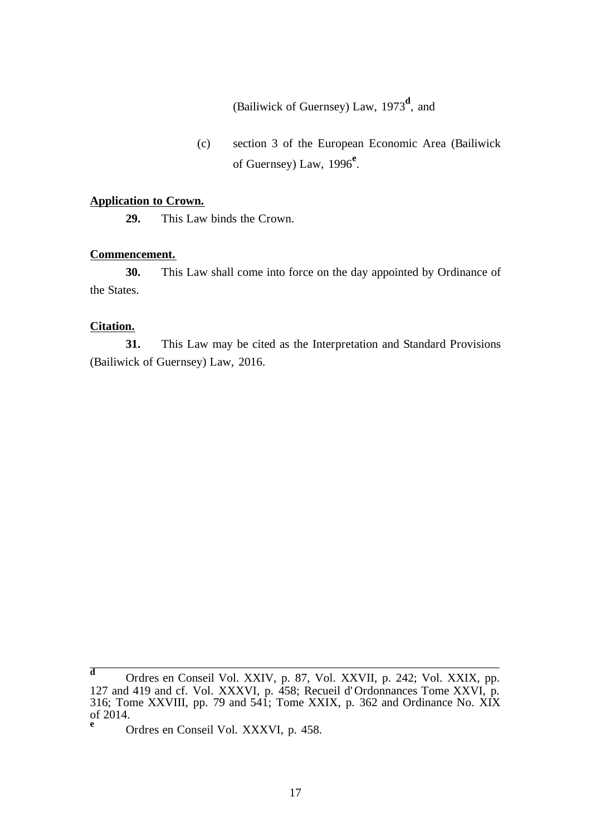(Bailiwick of Guernsey) Law, 1973**<sup>d</sup>** , and

(c) section 3 of the European Economic Area (Bailiwick of Guernsey) Law, 1996**<sup>e</sup>** .

## **Application to Crown.**

**29.** This Law binds the Crown.

## **Commencement.**

**30.** This Law shall come into force on the day appointed by Ordinance of the States.

## **Citation.**

**31.** This Law may be cited as the Interpretation and Standard Provisions (Bailiwick of Guernsey) Law, 2016.

**<sup>d</sup>** Ordres en Conseil Vol. XXIV, p. 87, Vol. XXVII, p. 242; Vol. XXIX, pp. 127 and 419 and cf. Vol. XXXVI, p. 458; Recueil d' Ordonnances Tome XXVI, p. 316; Tome XXVIII, pp. 79 and 541; Tome XXIX, p. 362 and Ordinance No.  $X\overline{X}X$ of 2014.

**<sup>e</sup>** Ordres en Conseil Vol. XXXVI, p. 458.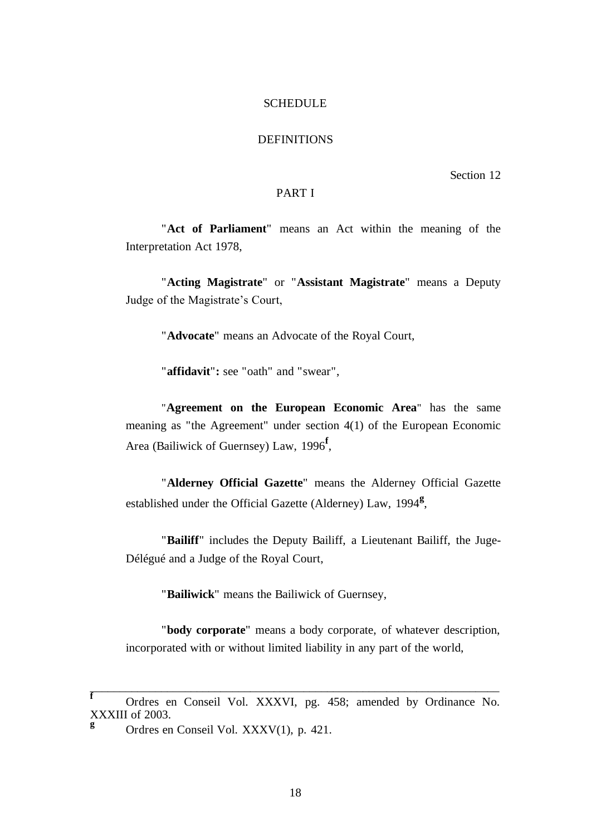### **SCHEDULE**

# **DEFINITIONS**

Section 12

# PART I

"**Act of Parliament**" means an Act within the meaning of the Interpretation Act 1978,

"**Acting Magistrate**" or "**Assistant Magistrate**" means a Deputy Judge of the Magistrate's Court,

"**Advocate**" means an Advocate of the Royal Court,

"**affidavit**"**:** see "oath" and "swear",

"**Agreement on the European Economic Area**" has the same meaning as "the Agreement" under section 4(1) of the European Economic Area (Bailiwick of Guernsey) Law, 1996**<sup>f</sup>** ,

"**Alderney Official Gazette**" means the Alderney Official Gazette established under the Official Gazette (Alderney) Law, 1994**<sup>g</sup>** ,

"**Bailiff**" includes the Deputy Bailiff, a Lieutenant Bailiff, the Juge-Délégué and a Judge of the Royal Court,

"**Bailiwick**" means the Bailiwick of Guernsey,

"**body corporate**" means a body corporate, of whatever description, incorporated with or without limited liability in any part of the world,

**<sup>f</sup>** Ordres en Conseil Vol. XXXVI, pg. 458; amended by Ordinance No. XXXIII of 2003.

<sup>&</sup>lt;sup>g</sup> Ordres en Conseil Vol. XXXV(1), p. 421.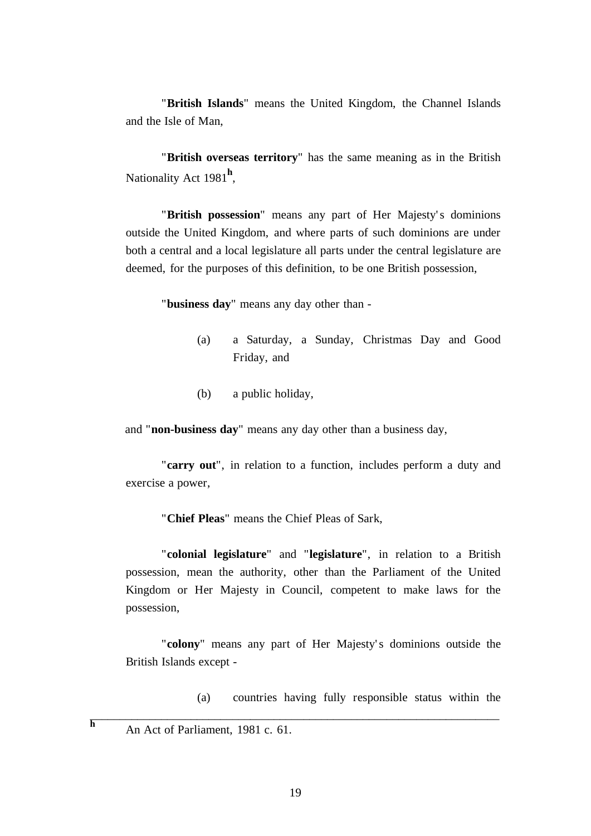"**British Islands**" means the United Kingdom, the Channel Islands and the Isle of Man,

"**British overseas territory**" has the same meaning as in the British Nationality Act 1981**<sup>h</sup>** ,

"British possession" means any part of Her Majesty's dominions outside the United Kingdom, and where parts of such dominions are under both a central and a local legislature all parts under the central legislature are deemed, for the purposes of this definition, to be one British possession,

"**business day**" means any day other than -

- (a) a Saturday, a Sunday, Christmas Day and Good Friday, and
- (b) a public holiday,

and "**non-business day**" means any day other than a business day,

"**carry out**", in relation to a function, includes perform a duty and exercise a power,

"**Chief Pleas**" means the Chief Pleas of Sark,

"**colonial legislature**" and "**legislature**", in relation to a British possession, mean the authority, other than the Parliament of the United Kingdom or Her Majesty in Council, competent to make laws for the possession,

"colony" means any part of Her Majesty's dominions outside the British Islands except -

(a) countries having fully responsible status within the

**h** An Act of Parliament, 1981 c. 61.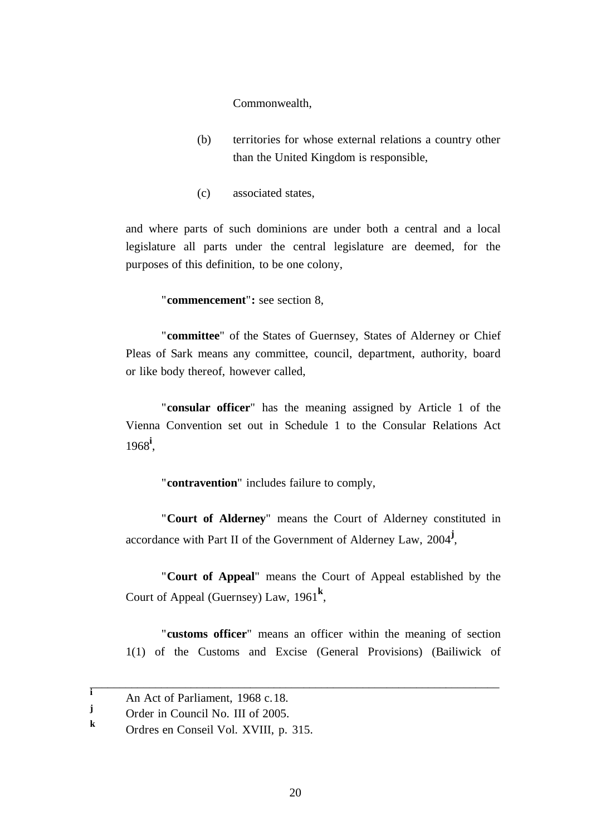Commonwealth,

- (b) territories for whose external relations a country other than the United Kingdom is responsible,
- (c) associated states,

and where parts of such dominions are under both a central and a local legislature all parts under the central legislature are deemed, for the purposes of this definition, to be one colony,

"**commencement**"**:** see section 8,

"**committee**" of the States of Guernsey, States of Alderney or Chief Pleas of Sark means any committee, council, department, authority, board or like body thereof, however called,

"**consular officer**" has the meaning assigned by Article 1 of the Vienna Convention set out in Schedule 1 to the Consular Relations Act 1968**<sup>i</sup>** ,

"**contravention**" includes failure to comply,

"**Court of Alderney**" means the Court of Alderney constituted in accordance with Part II of the Government of Alderney Law, 2004**<sup>j</sup>** ,

"**Court of Appeal**" means the Court of Appeal established by the Court of Appeal (Guernsey) Law, 1961**<sup>k</sup>** ,

"**customs officer**" means an officer within the meaning of section 1(1) of the Customs and Excise (General Provisions) (Bailiwick of

 $\frac{1}{\text{A}}$  An Act of Parliament, 1968 c.18.

<sup>&</sup>lt;sup>J</sup> Order in Council No. III of 2005.

**<sup>k</sup>** Ordres en Conseil Vol. XVIII, p. 315.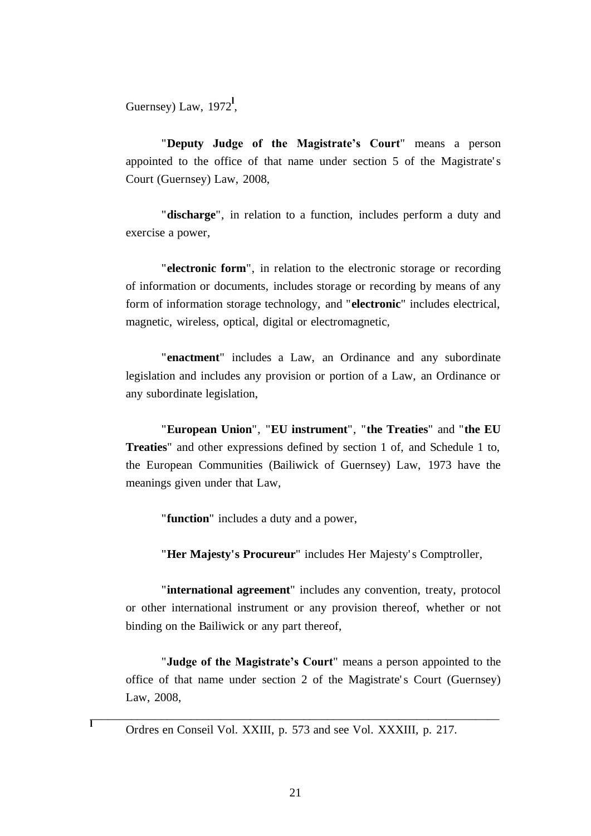Guernsey) Law, 1972<sup>1</sup>,

"**Deputy Judge of the Magistrate's Court**" means a person appointed to the office of that name under section 5 of the Magistrate' s Court (Guernsey) Law, 2008,

"**discharge**", in relation to a function, includes perform a duty and exercise a power,

"**electronic form**", in relation to the electronic storage or recording of information or documents, includes storage or recording by means of any form of information storage technology, and "**electronic**" includes electrical, magnetic, wireless, optical, digital or electromagnetic,

"**enactment**" includes a Law, an Ordinance and any subordinate legislation and includes any provision or portion of a Law, an Ordinance or any subordinate legislation,

"**European Union**", "**EU instrument**", "**the Treaties**" and "**the EU Treaties**" and other expressions defined by section 1 of, and Schedule 1 to, the European Communities (Bailiwick of Guernsey) Law, 1973 have the meanings given under that Law,

"**function**" includes a duty and a power,

"**Her Majesty's Procureur**" includes Her Majesty' s Comptroller,

"**international agreement**" includes any convention, treaty, protocol or other international instrument or any provision thereof, whether or not binding on the Bailiwick or any part thereof,

"**Judge of the Magistrate's Court**" means a person appointed to the office of that name under section 2 of the Magistrate' s Court (Guernsey) Law, 2008,

\_\_\_\_\_\_\_\_\_\_\_\_\_\_\_\_\_\_\_\_\_\_\_\_\_\_\_\_\_\_\_\_\_\_\_\_\_\_\_\_\_\_\_\_\_\_\_\_\_\_\_\_\_\_\_\_\_\_\_\_\_\_\_\_\_\_\_\_\_ **<sup>l</sup>** Ordres en Conseil Vol. XXIII, p. 573 and see Vol. XXXIII, p. 217.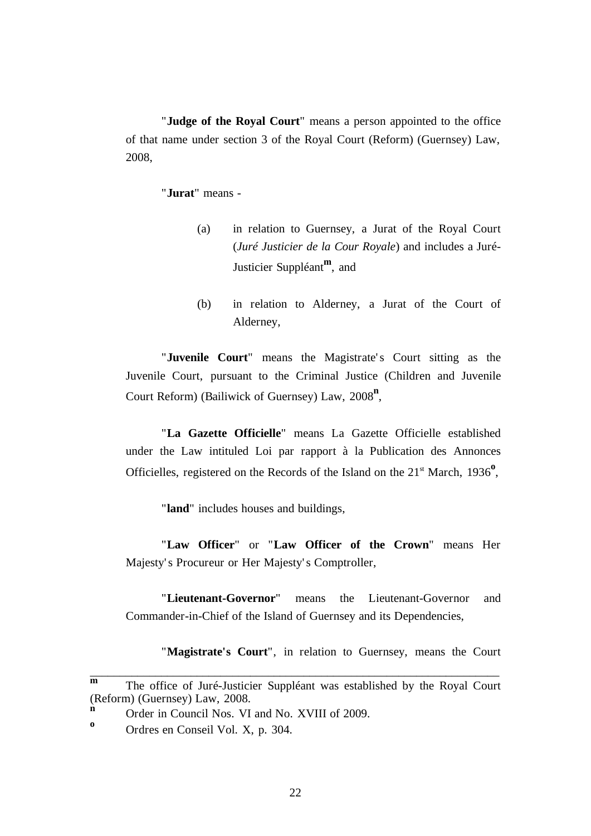"**Judge of the Royal Court**" means a person appointed to the office of that name under section 3 of the Royal Court (Reform) (Guernsey) Law, 2008,

# "**Jurat**" means -

- (a) in relation to Guernsey, a Jurat of the Royal Court (*Juré Justicier de la Cour Royale*) and includes a Juré-Justicier Suppléant**<sup>m</sup>** , and
- (b) in relation to Alderney, a Jurat of the Court of Alderney,

"**Juvenile Court**" means the Magistrate's Court sitting as the Juvenile Court, pursuant to the Criminal Justice (Children and Juvenile Court Reform) (Bailiwick of Guernsey) Law, 2008**<sup>n</sup>** ,

"**La Gazette Officielle**" means La Gazette Officielle established under the Law intituled Loi par rapport à la Publication des Annonces Officielles, registered on the Records of the Island on the 21<sup>st</sup> March, 1936<sup>o</sup>,

"**land**" includes houses and buildings,

"**Law Officer**" or "**Law Officer of the Crown**" means Her Majesty' s Procureur or Her Majesty' s Comptroller,

"**Lieutenant-Governor**" means the Lieutenant-Governor and Commander-in-Chief of the Island of Guernsey and its Dependencies,

"**Magistrate's Court**", in relation to Guernsey, means the Court

**m** The office of Juré-Justicier Suppléant was established by the Royal Court (Reform) (Guernsey) Law, 2008.

**n** Order in Council Nos. VI and No. XVIII of 2009.

**<sup>o</sup>** Ordres en Conseil Vol. X, p. 304.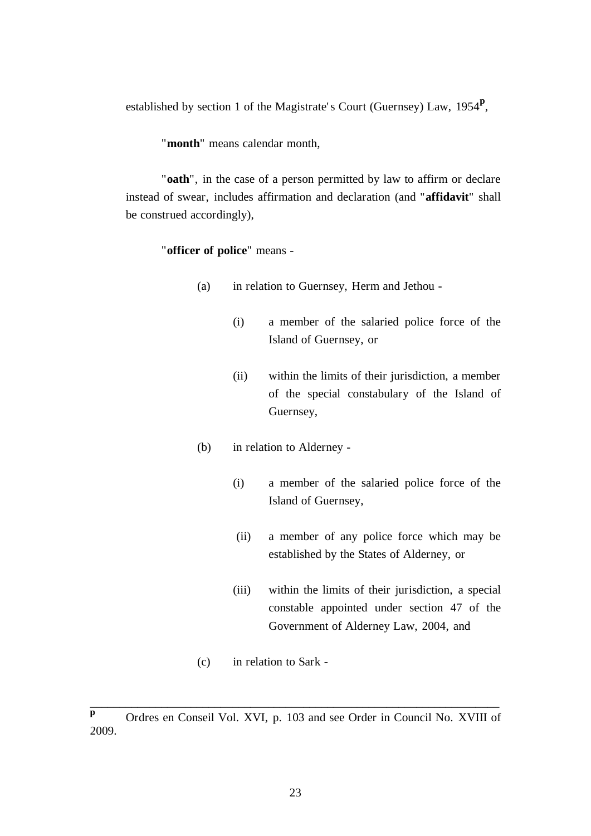established by section 1 of the Magistrate' s Court (Guernsey) Law, 1954**<sup>p</sup>** ,

"**month**" means calendar month,

"**oath**", in the case of a person permitted by law to affirm or declare instead of swear, includes affirmation and declaration (and "**affidavit**" shall be construed accordingly),

"**officer of police**" means -

- (a) in relation to Guernsey, Herm and Jethou
	- (i) a member of the salaried police force of the Island of Guernsey, or
	- (ii) within the limits of their jurisdiction, a member of the special constabulary of the Island of Guernsey,
- (b) in relation to Alderney
	- (i) a member of the salaried police force of the Island of Guernsey,
	- (ii) a member of any police force which may be established by the States of Alderney, or
	- (iii) within the limits of their jurisdiction, a special constable appointed under section 47 of the Government of Alderney Law, 2004, and
- (c) in relation to Sark -

**p** Ordres en Conseil Vol. XVI, p. 103 and see Order in Council No. XVIII of 2009.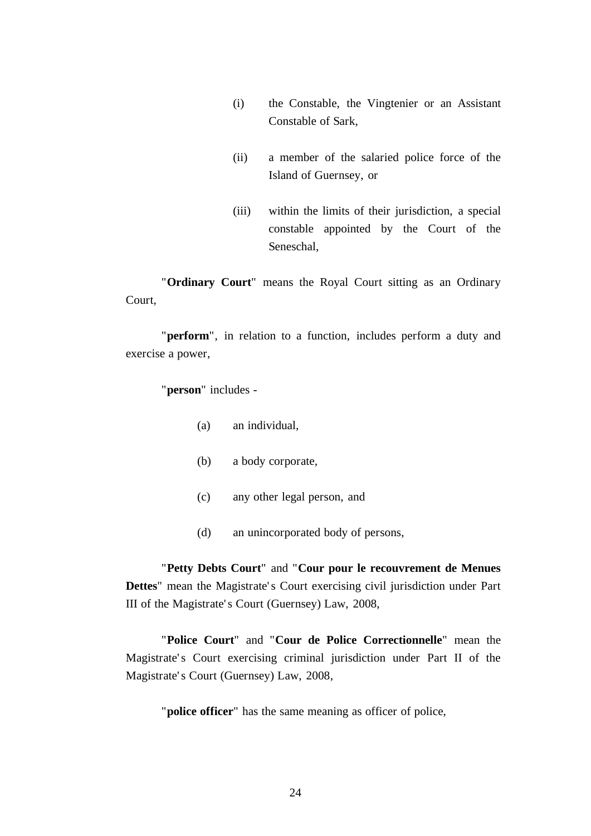- (i) the Constable, the Vingtenier or an Assistant Constable of Sark,
- (ii) a member of the salaried police force of the Island of Guernsey, or
- (iii) within the limits of their jurisdiction, a special constable appointed by the Court of the Seneschal,

"**Ordinary Court**" means the Royal Court sitting as an Ordinary Court,

"**perform**", in relation to a function, includes perform a duty and exercise a power,

"**person**" includes -

- (a) an individual,
- (b) a body corporate,
- (c) any other legal person, and
- (d) an unincorporated body of persons,

"**Petty Debts Court**" and "**Cour pour le recouvrement de Menues Dettes**" mean the Magistrate' s Court exercising civil jurisdiction under Part III of the Magistrate' s Court (Guernsey) Law, 2008,

"**Police Court**" and "**Cour de Police Correctionnelle**" mean the Magistrate's Court exercising criminal jurisdiction under Part II of the Magistrate' s Court (Guernsey) Law, 2008,

"**police officer**" has the same meaning as officer of police,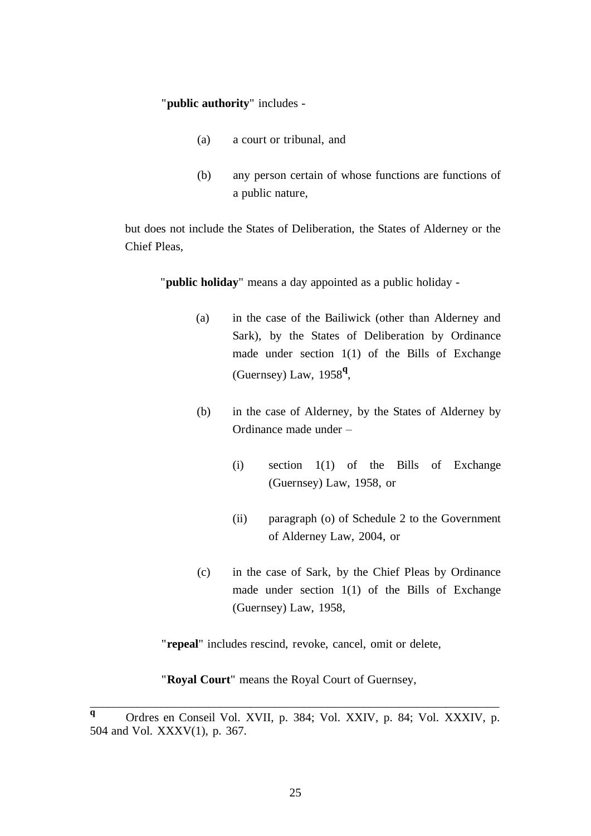"**public authority**" includes -

- (a) a court or tribunal, and
- (b) any person certain of whose functions are functions of a public nature,

but does not include the States of Deliberation, the States of Alderney or the Chief Pleas,

"**public holiday**" means a day appointed as a public holiday -

- (a) in the case of the Bailiwick (other than Alderney and Sark), by the States of Deliberation by Ordinance made under section 1(1) of the Bills of Exchange (Guernsey) Law, 1958**<sup>q</sup>** ,
- (b) in the case of Alderney, by the States of Alderney by Ordinance made under –
	- (i) section 1(1) of the Bills of Exchange (Guernsey) Law, 1958, or
	- (ii) paragraph (o) of Schedule 2 to the Government of Alderney Law, 2004, or
- (c) in the case of Sark, by the Chief Pleas by Ordinance made under section 1(1) of the Bills of Exchange (Guernsey) Law, 1958,

"**repeal**" includes rescind, revoke, cancel, omit or delete,

"**Royal Court**" means the Royal Court of Guernsey,

**<sup>q</sup>** Ordres en Conseil Vol. XVII, p. 384; Vol. XXIV, p. 84; Vol. XXXIV, p. 504 and Vol. XXXV(1), p. 367.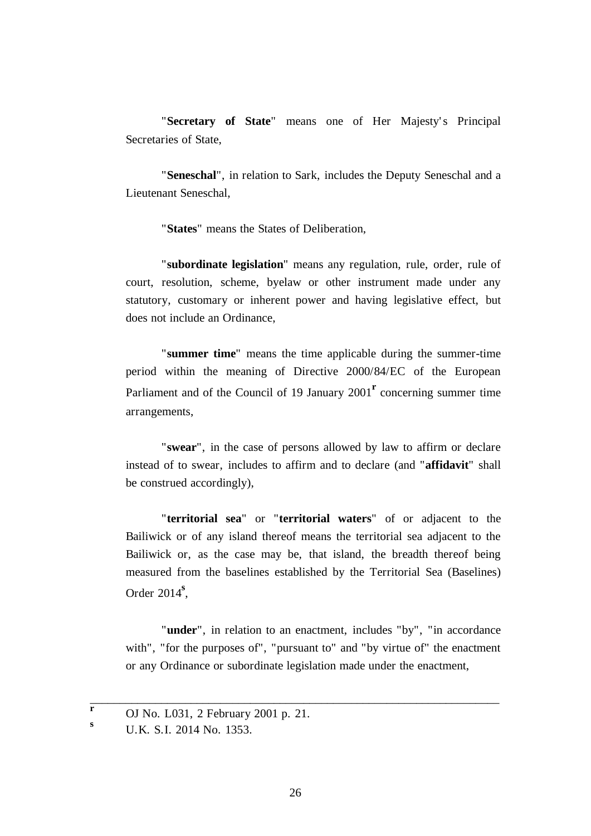"Secretary of State" means one of Her Majesty's Principal Secretaries of State,

"**Seneschal**", in relation to Sark, includes the Deputy Seneschal and a Lieutenant Seneschal,

"**States**" means the States of Deliberation,

"**subordinate legislation**" means any regulation, rule, order, rule of court, resolution, scheme, byelaw or other instrument made under any statutory, customary or inherent power and having legislative effect, but does not include an Ordinance,

"**summer time**" means the time applicable during the summer-time period within the meaning of Directive 2000/84/EC of the European Parliament and of the Council of 19 January 2001<sup>r</sup> concerning summer time arrangements,

"**swear**", in the case of persons allowed by law to affirm or declare instead of to swear, includes to affirm and to declare (and "**affidavit**" shall be construed accordingly),

"**territorial sea**" or "**territorial waters**" of or adjacent to the Bailiwick or of any island thereof means the territorial sea adjacent to the Bailiwick or, as the case may be, that island, the breadth thereof being measured from the baselines established by the Territorial Sea (Baselines) Order 2014**<sup>s</sup>** ,

"**under**", in relation to an enactment, includes "by", "in accordance with", "for the purposes of", "pursuant to" and "by virtue of" the enactment or any Ordinance or subordinate legislation made under the enactment,

**r** OJ No. L031, 2 February 2001 p. 21.

**<sup>s</sup>** U.K. S.I. 2014 No. 1353.